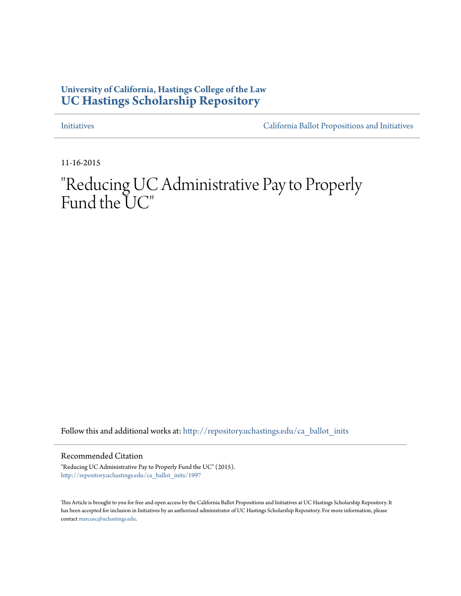## **University of California, Hastings College of the Law [UC Hastings Scholarship Repository](http://repository.uchastings.edu?utm_source=repository.uchastings.edu%2Fca_ballot_inits%2F1997&utm_medium=PDF&utm_campaign=PDFCoverPages)**

[Initiatives](http://repository.uchastings.edu/ca_ballot_inits?utm_source=repository.uchastings.edu%2Fca_ballot_inits%2F1997&utm_medium=PDF&utm_campaign=PDFCoverPages) [California Ballot Propositions and Initiatives](http://repository.uchastings.edu/ca_ballots?utm_source=repository.uchastings.edu%2Fca_ballot_inits%2F1997&utm_medium=PDF&utm_campaign=PDFCoverPages)

11-16-2015

## "Reducing UC Administrative Pay to Properly Fund the UC"

Follow this and additional works at: [http://repository.uchastings.edu/ca\\_ballot\\_inits](http://repository.uchastings.edu/ca_ballot_inits?utm_source=repository.uchastings.edu%2Fca_ballot_inits%2F1997&utm_medium=PDF&utm_campaign=PDFCoverPages)

Recommended Citation

"Reducing UC Administrative Pay to Properly Fund the UC" (2015). [http://repository.uchastings.edu/ca\\_ballot\\_inits/1997](http://repository.uchastings.edu/ca_ballot_inits/1997?utm_source=repository.uchastings.edu%2Fca_ballot_inits%2F1997&utm_medium=PDF&utm_campaign=PDFCoverPages)

This Article is brought to you for free and open access by the California Ballot Propositions and Initiatives at UC Hastings Scholarship Repository. It has been accepted for inclusion in Initiatives by an authorized administrator of UC Hastings Scholarship Repository. For more information, please contact [marcusc@uchastings.edu](mailto:marcusc@uchastings.edu).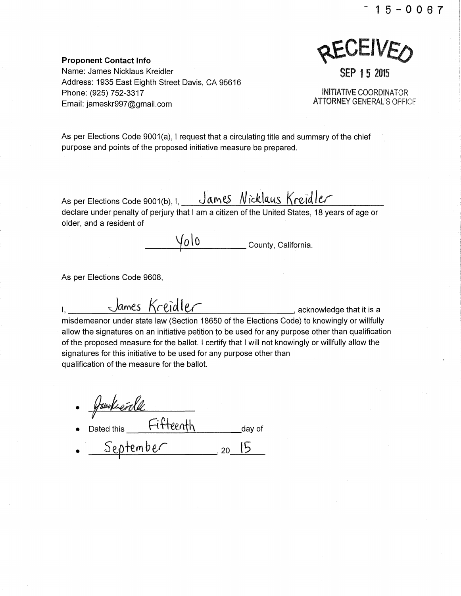-15-0067

**KEAFIAEO** 

Proponent Contact Info Name: James Nicklaus Kreidler Address: 1935 East Eighth Street Davis, CA 95616 Phone: (925) 752-3317 Email: jameskr997@gmail.com

INITIATIVE COORDINATOR ATIORNEY GENERAL'S OFFICF.

SEP 15 2015

As per Elections Code 9001(a), I request that a circulating title and summary of the chief purpose and points of the proposed initiative measure be prepared.

As per Elections Code 9001(b), I, \_\_\_\_James Nicklaus Kreidler declare under penalty of perjury that I am a citizen of the United States, 18 years of age or older, and a resident of

 $\sqrt{0\,}$  County, California.

As per Elections Code 9608,

1, James Kreidler , acknowledge that it is a misdemeanor under state law (Section 18650 of the Elections Code) to knowingly or willfully allow the signatures on an initiative petition to be used for any purpose other than qualification of the proposed measure for the ballot. I certify that I will not knowingly or willfully allow the signatures for this initiative to be used for any purpose other than qualification of the measure for the ballot.

familier le 1 • Dated this  $\begin{array}{ccc} \hline \text{HTP}\end{array}$  day of September 20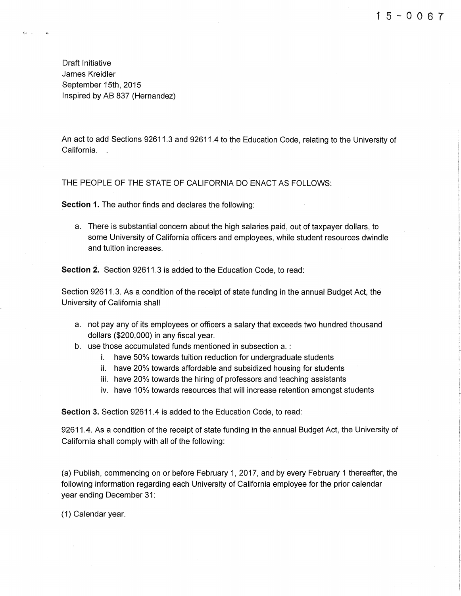ii www.assett.com/units/ **INVESTIGATION** 

interpretational contracts

l **International Control of the American** 

Draft Initiative James Kreidler September 15th, 2015 Inspired by AB 837 (Hernandez)

 $c_{\ell}$  .

An act to add Sections 92611.3 and 92611.4 to the Education Code, relating to the University of California. \_

THE PEOPLE OF THE STATE OF CALIFORNIA DO ENACT AS FOLLOWS:

**Section 1.** The author finds and declares the following:

a. There is substantial concern about the high salaries paid, out of taxpayer dollars, to some University of California officers and employees, while student resources dwindle and tuition increases.

**Section 2.** Section 92611.3 is added to the Education Code, to read:

Section 92611.3. As a condition of the receipt of state funding in the annual Budget Act, the University of California shall

- a. not pay any of its employees or officers a salary that exceeds two hundred thousand dollars (\$200,000) in any fiscal year.
- b. use those accumulated funds mentioned in subsection a. :
	- i. have 50% towards tuition reduction for undergraduate students
	- ii. have 20% towards affordable and subsidized housing for students
	- iii. have 20% towards the hiring of professors and teaching assistants
	- iv. have 10% towards resources that will increase retention amongst students

**Section** 3. Section 92611.4 is added to the Education Code, to read:

92611.4. As a condition of the receipt of state funding in the annual Budget Act, the University of California shall comply with all of the following:

(a) Publish, commencing on or before February 1, 2017, and by every February 1 thereafter, the following information regarding each University of California employee for the prior calendar year ending December 31:

(1) Calendar year.